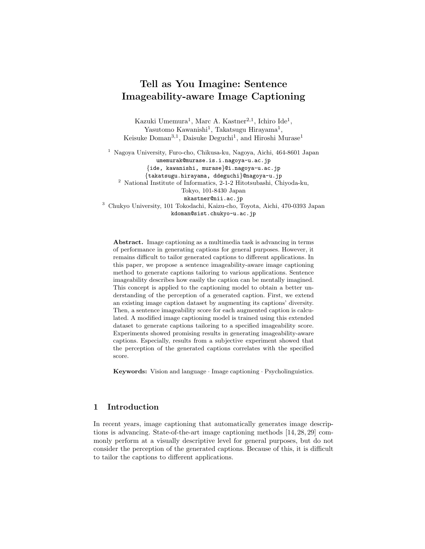# Tell as You Imagine: Sentence Imageability-aware Image Captioning

Kazuki Umemura<sup>1</sup>, Marc A. Kastner<sup>2,1</sup>, Ichiro Ide<sup>1</sup>, Yasutomo Kawanishi<sup>1</sup>, Takatsugu Hirayama<sup>1</sup>, Keisuke Doman<sup>3,1</sup>, Daisuke Deguchi<sup>1</sup>, and Hiroshi Murase<sup>1</sup>

<sup>1</sup> Nagoya University, Furo-cho, Chikusa-ku, Nagoya, Aichi, 464-8601 Japan umemurak@murase.is.i.nagoya-u.ac.jp {ide, kawanishi, murase}@i.nagoya-u.ac.jp {takatsugu.hirayama, ddeguchi}@nagoya-u.jp <sup>2</sup> National Institute of Informatics, 2-1-2 Hitotsubashi, Chiyoda-ku, Tokyo, 101-8430 Japan mkastner@nii.ac.jp <sup>3</sup> Chukyo University, 101 Tokodachi, Kaizu-cho, Toyota, Aichi, 470-0393 Japan

kdoman@sist.chukyo-u.ac.jp

Abstract. Image captioning as a multimedia task is advancing in terms of performance in generating captions for general purposes. However, it remains difficult to tailor generated captions to different applications. In this paper, we propose a sentence imageability-aware image captioning method to generate captions tailoring to various applications. Sentence imageability describes how easily the caption can be mentally imagined. This concept is applied to the captioning model to obtain a better understanding of the perception of a generated caption. First, we extend an existing image caption dataset by augmenting its captions' diversity. Then, a sentence imageability score for each augmented caption is calculated. A modified image captioning model is trained using this extended dataset to generate captions tailoring to a specified imageability score. Experiments showed promising results in generating imageability-aware captions. Especially, results from a subjective experiment showed that the perception of the generated captions correlates with the specified score.

Keywords: Vision and language · Image captioning · Psycholinguistics.

# 1 Introduction

In recent years, image captioning that automatically generates image descriptions is advancing. State-of-the-art image captioning methods [14, 28, 29] commonly perform at a visually descriptive level for general purposes, but do not consider the perception of the generated captions. Because of this, it is difficult to tailor the captions to different applications.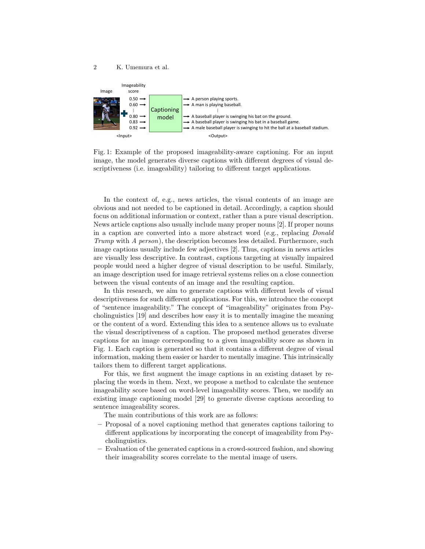

Fig. 1: Example of the proposed imageability-aware captioning. For an input image, the model generates diverse captions with different degrees of visual descriptiveness (i.e. imageability) tailoring to different target applications.

In the context of, e.g., news articles, the visual contents of an image are obvious and not needed to be captioned in detail. Accordingly, a caption should focus on additional information or context, rather than a pure visual description. News article captions also usually include many proper nouns [2]. If proper nouns in a caption are converted into a more abstract word (e.g., replacing Donald Trump with A person), the description becomes less detailed. Furthermore, such image captions usually include few adjectives [2]. Thus, captions in news articles are visually less descriptive. In contrast, captions targeting at visually impaired people would need a higher degree of visual description to be useful. Similarly, an image description used for image retrieval systems relies on a close connection between the visual contents of an image and the resulting caption.

In this research, we aim to generate captions with different levels of visual descriptiveness for such different applications. For this, we introduce the concept of "sentence imageability." The concept of "imageability" originates from Psycholinguistics [19] and describes how easy it is to mentally imagine the meaning or the content of a word. Extending this idea to a sentence allows us to evaluate the visual descriptiveness of a caption. The proposed method generates diverse captions for an image corresponding to a given imageability score as shown in Fig. 1. Each caption is generated so that it contains a different degree of visual information, making them easier or harder to mentally imagine. This intrinsically tailors them to different target applications.

For this, we first augment the image captions in an existing dataset by replacing the words in them. Next, we propose a method to calculate the sentence imageability score based on word-level imageability scores. Then, we modify an existing image captioning model [29] to generate diverse captions according to sentence imageability scores.

The main contributions of this work are as follows:

- Proposal of a novel captioning method that generates captions tailoring to different applications by incorporating the concept of imageability from Psycholinguistics.
- Evaluation of the generated captions in a crowd-sourced fashion, and showing their imageability scores correlate to the mental image of users.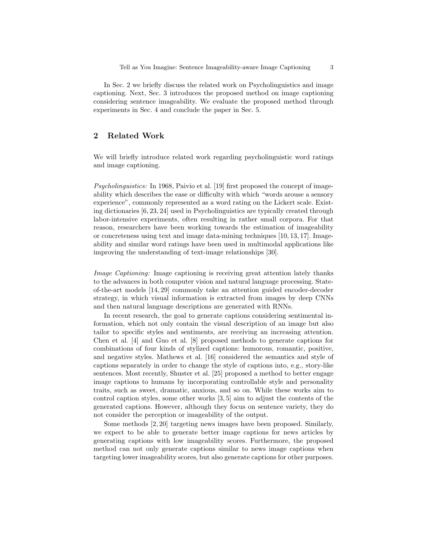In Sec. 2 we briefly discuss the related work on Psycholinguistics and image captioning. Next, Sec. 3 introduces the proposed method on image captioning considering sentence imageability. We evaluate the proposed method through experiments in Sec. 4 and conclude the paper in Sec. 5.

# 2 Related Work

We will briefly introduce related work regarding psycholinguistic word ratings and image captioning.

Psycholinguistics: In 1968, Paivio et al. [19] first proposed the concept of imageability which describes the ease or difficulty with which "words arouse a sensory experience", commonly represented as a word rating on the Lickert scale. Existing dictionaries [6, 23, 24] used in Psycholinguistics are typically created through labor-intensive experiments, often resulting in rather small corpora. For that reason, researchers have been working towards the estimation of imageability or concreteness using text and image data-mining techniques [10, 13, 17]. Imageability and similar word ratings have been used in multimodal applications like improving the understanding of text-image relationships [30].

Image Captioning: Image captioning is receiving great attention lately thanks to the advances in both computer vision and natural language processing. Stateof-the-art models [14, 29] commonly take an attention guided encoder-decoder strategy, in which visual information is extracted from images by deep CNNs and then natural language descriptions are generated with RNNs.

In recent research, the goal to generate captions considering sentimental information, which not only contain the visual description of an image but also tailor to specific styles and sentiments, are receiving an increasing attention. Chen et al. [4] and Guo et al. [8] proposed methods to generate captions for combinations of four kinds of stylized captions: humorous, romantic, positive, and negative styles. Mathews et al. [16] considered the semantics and style of captions separately in order to change the style of captions into, e.g., story-like sentences. Most recently, Shuster et al. [25] proposed a method to better engage image captions to humans by incorporating controllable style and personality traits, such as sweet, dramatic, anxious, and so on. While these works aim to control caption styles, some other works [3, 5] aim to adjust the contents of the generated captions. However, although they focus on sentence variety, they do not consider the perception or imageability of the output.

Some methods [2, 20] targeting news images have been proposed. Similarly, we expect to be able to generate better image captions for news articles by generating captions with low imageability scores. Furthermore, the proposed method can not only generate captions similar to news image captions when targeting lower imageability scores, but also generate captions for other purposes.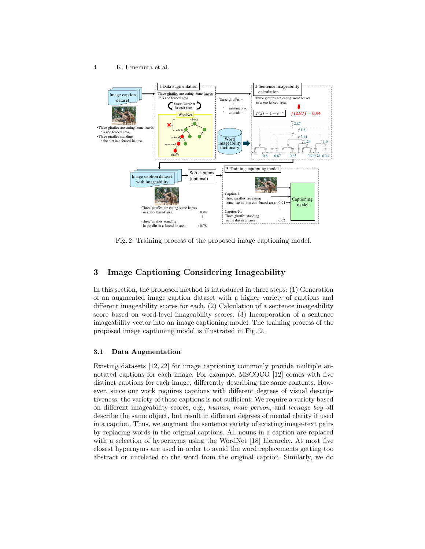#### 4 K. Umemura et al.



Fig. 2: Training process of the proposed image captioning model.

# 3 Image Captioning Considering Imageability

In this section, the proposed method is introduced in three steps: (1) Generation of an augmented image caption dataset with a higher variety of captions and different imageability scores for each. (2) Calculation of a sentence imageability score based on word-level imageability scores. (3) Incorporation of a sentence imageability vector into an image captioning model. The training process of the proposed image captioning model is illustrated in Fig. 2.

## 3.1 Data Augmentation

Existing datasets [12, 22] for image captioning commonly provide multiple annotated captions for each image. For example, MSCOCO [12] comes with five distinct captions for each image, differently describing the same contents. However, since our work requires captions with different degrees of visual descriptiveness, the variety of these captions is not sufficient; We require a variety based on different imageability scores, e.g., human, male person, and teenage boy all describe the same object, but result in different degrees of mental clarity if used in a caption. Thus, we augment the sentence variety of existing image-text pairs by replacing words in the original captions. All nouns in a caption are replaced with a selection of hypernyms using the WordNet [18] hierarchy. At most five closest hypernyms are used in order to avoid the word replacements getting too abstract or unrelated to the word from the original caption. Similarly, we do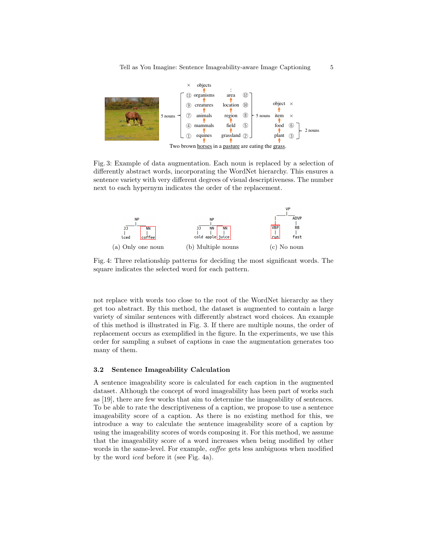

Fig. 3: Example of data augmentation. Each noun is replaced by a selection of differently abstract words, incorporating the WordNet hierarchy. This ensures a sentence variety with very different degrees of visual descriptiveness. The number next to each hypernym indicates the order of the replacement.



Fig. 4: Three relationship patterns for deciding the most significant words. The square indicates the selected word for each pattern.

not replace with words too close to the root of the WordNet hierarchy as they get too abstract. By this method, the dataset is augmented to contain a large variety of similar sentences with differently abstract word choices. An example of this method is illustrated in Fig. 3. If there are multiple nouns, the order of replacement occurs as exemplified in the figure. In the experiments, we use this order for sampling a subset of captions in case the augmentation generates too many of them.

## 3.2 Sentence Imageability Calculation

A sentence imageability score is calculated for each caption in the augmented dataset. Although the concept of word imageability has been part of works such as [19], there are few works that aim to determine the imageability of sentences. To be able to rate the descriptiveness of a caption, we propose to use a sentence imageability score of a caption. As there is no existing method for this, we introduce a way to calculate the sentence imageability score of a caption by using the imageability scores of words composing it. For this method, we assume that the imageability score of a word increases when being modified by other words in the same-level. For example, coffee gets less ambiguous when modified by the word iced before it (see Fig. 4a).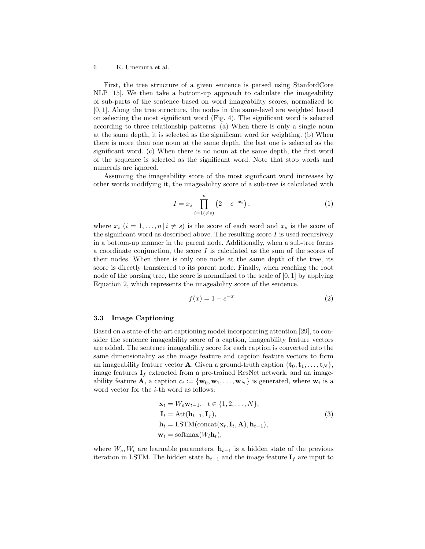## 6 K. Umemura et al.

First, the tree structure of a given sentence is parsed using StanfordCore NLP [15]. We then take a bottom-up approach to calculate the imageability of sub-parts of the sentence based on word imageability scores, normalized to [0, 1]. Along the tree structure, the nodes in the same-level are weighted based on selecting the most significant word (Fig. 4). The significant word is selected according to three relationship patterns: (a) When there is only a single noun at the same depth, it is selected as the significant word for weighting. (b) When there is more than one noun at the same depth, the last one is selected as the significant word. (c) When there is no noun at the same depth, the first word of the sequence is selected as the significant word. Note that stop words and numerals are ignored.

Assuming the imageability score of the most significant word increases by other words modifying it, the imageability score of a sub-tree is calculated with

$$
I = x_s \prod_{i=1(\neq s)}^{n} (2 - e^{-x_i}), \qquad (1)
$$

where  $x_i$   $(i = 1, \ldots, n | i \neq s)$  is the score of each word and  $x_s$  is the score of the significant word as described above. The resulting score  $I$  is used recursively in a bottom-up manner in the parent node. Additionally, when a sub-tree forms a coordinate conjunction, the score  $I$  is calculated as the sum of the scores of their nodes. When there is only one node at the same depth of the tree, its score is directly transferred to its parent node. Finally, when reaching the root node of the parsing tree, the score is normalized to the scale of  $[0, 1]$  by applying Equation 2, which represents the imageability score of the sentence.

$$
f(x) = 1 - e^{-x}
$$
\n<sup>(2)</sup>

#### 3.3 Image Captioning

Based on a state-of-the-art captioning model incorporating attention [29], to consider the sentence imageability score of a caption, imageability feature vectors are added. The sentence imageability score for each caption is converted into the same dimensionality as the image feature and caption feature vectors to form an imageability feature vector **A**. Given a ground-truth caption  $\{\mathbf{t}_0, \mathbf{t}_1, \ldots, \mathbf{t}_N\}$ , image features  $I_f$  extracted from a pre-trained ResNet network, and an imageability feature **A**, a caption  $c_i := \{w_0, w_1, \ldots, w_N\}$  is generated, where  $w_i$  is a word vector for the  $i$ -th word as follows:

$$
\mathbf{x}_{t} = W_{e} \mathbf{w}_{t-1}, \quad t \in \{1, 2, ..., N\},
$$
  
\n
$$
\mathbf{I}_{t} = \text{Att}(\mathbf{h}_{t-1}, \mathbf{I}_{f}),
$$
  
\n
$$
\mathbf{h}_{t} = \text{LSTM}(\text{concat}(\mathbf{x}_{t}, \mathbf{I}_{t}, \mathbf{A}), \mathbf{h}_{t-1}),
$$
  
\n
$$
\mathbf{w}_{t} = \text{softmax}(W_{l} \mathbf{h}_{t}),
$$
\n(3)

where  $W_e, W_l$  are learnable parameters,  $\mathbf{h}_{t-1}$  is a hidden state of the previous iteration in LSTM. The hidden state  $h_{t-1}$  and the image feature  $I_f$  are input to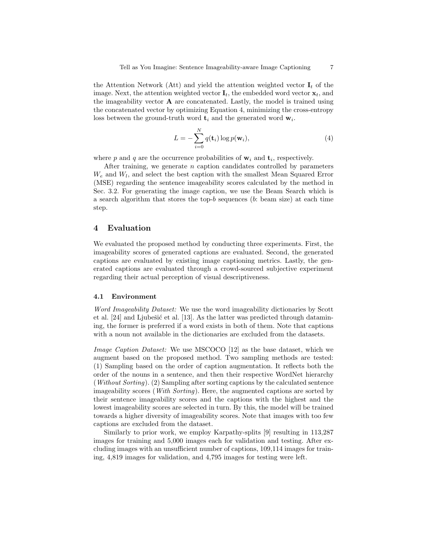the Attention Network (Att) and yield the attention weighted vector  $I_t$  of the image. Next, the attention weighted vector  $I_t$ , the embedded word vector  $x_t$ , and the imageability vector  $\bf{A}$  are concatenated. Lastly, the model is trained using the concatenated vector by optimizing Equation 4, minimizing the cross-entropy loss between the ground-truth word  $\mathbf{t}_i$  and the generated word  $\mathbf{w}_i$ .

$$
L = -\sum_{i=0}^{N} q(\mathbf{t}_i) \log p(\mathbf{w}_i), \qquad (4)
$$

where p and q are the occurrence probabilities of  $\mathbf{w}_i$  and  $\mathbf{t}_i$ , respectively.

After training, we generate  $n$  caption candidates controlled by parameters  $W_e$  and  $W_l$ , and select the best caption with the smallest Mean Squared Error (MSE) regarding the sentence imageability scores calculated by the method in Sec. 3.2. For generating the image caption, we use the Beam Search which is a search algorithm that stores the top- $b$  sequences ( $b$ : beam size) at each time step.

## 4 Evaluation

We evaluated the proposed method by conducting three experiments. First, the imageability scores of generated captions are evaluated. Second, the generated captions are evaluated by existing image captioning metrics. Lastly, the generated captions are evaluated through a crowd-sourced subjective experiment regarding their actual perception of visual descriptiveness.

#### 4.1 Environment

Word Imageability Dataset: We use the word imageability dictionaries by Scott et al.  $[24]$  and Ljubešić et al.  $[13]$ . As the latter was predicted through datamining, the former is preferred if a word exists in both of them. Note that captions with a noun not available in the dictionaries are excluded from the datasets.

Image Caption Dataset: We use MSCOCO [12] as the base dataset, which we augment based on the proposed method. Two sampling methods are tested: (1) Sampling based on the order of caption augmentation. It reflects both the order of the nouns in a sentence, and then their respective WordNet hierarchy (Without Sorting). (2) Sampling after sorting captions by the calculated sentence imageability scores (*With Sorting*). Here, the augmented captions are sorted by their sentence imageability scores and the captions with the highest and the lowest imageability scores are selected in turn. By this, the model will be trained towards a higher diversity of imageability scores. Note that images with too few captions are excluded from the dataset.

Similarly to prior work, we employ Karpathy-splits [9] resulting in 113,287 images for training and 5,000 images each for validation and testing. After excluding images with an unsufficient number of captions, 109,114 images for training, 4,819 images for validation, and 4,795 images for testing were left.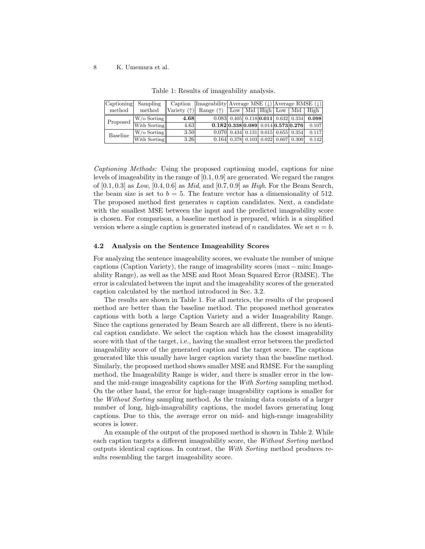| Captioning | Sampling           |      |                                                                     |  |  |  | Caption  Imageability Average MSE $(\downarrow)$  Average RMSE $(\downarrow)$ |                                       |                                             |  |  |
|------------|--------------------|------|---------------------------------------------------------------------|--|--|--|-------------------------------------------------------------------------------|---------------------------------------|---------------------------------------------|--|--|
| method     | method             |      | $\vert$ Variety (†) Range (†) $\vert$ Low Mid   High Low Mid   High |  |  |  |                                                                               |                                       |                                             |  |  |
| Proposed   | $W/\sigma$ Sorting | 4.68 |                                                                     |  |  |  |                                                                               |                                       | $0.083$ 0.405 0.118 0.011 0.632 0.334 0.098 |  |  |
|            | With Sorting       | 4.63 | $[0.182] 0.338] 0.089] 0.014] 0.573] 0.276]$                        |  |  |  |                                                                               |                                       | 0.107                                       |  |  |
| Baseline   | $W$ /o Sorting     | 3.50 |                                                                     |  |  |  |                                                                               | $0.070$ 0.434 0.131 0.015 0.655 0.354 | 0.117                                       |  |  |
|            | With Sorting       | 3.26 |                                                                     |  |  |  |                                                                               | $0.164$ 0.378 0.103 0.022 0.607 0.300 | 0.142                                       |  |  |

Table 1: Results of imageability analysis.

Captioning Methods: Using the proposed captioning model, captions for nine levels of imageability in the range of [0.1, 0.9] are generated. We regard the ranges of  $[0.1, 0.3]$  as  $Low$ ,  $[0.4, 0.6]$  as  $Mid$ , and  $[0.7, 0.9]$  as High. For the Beam Search, the beam size is set to  $b = 5$ . The feature vector has a dimensionality of 512. The proposed method first generates  $n$  caption candidates. Next, a candidate with the smallest MSE between the input and the predicted imageability score is chosen. For comparison, a baseline method is prepared, which is a simplified version where a single caption is generated instead of n candidates. We set  $n = b$ .

#### 4.2 Analysis on the Sentence Imageability Scores

For analyzing the sentence imageability scores, we evaluate the number of unique captions (Caption Variety), the range of imageability scores (max − min; Imageability Range), as well as the MSE and Root Mean Squared Error (RMSE). The error is calculated between the input and the imageability scores of the generated caption calculated by the method introduced in Sec. 3.2.

The results are shown in Table 1. For all metrics, the results of the proposed method are better than the baseline method. The proposed method generates captions with both a large Caption Variety and a wider Imageability Range. Since the captions generated by Beam Search are all different, there is no identical caption candidate. We select the caption which has the closest imageability score with that of the target, i.e., having the smallest error between the predicted imageability score of the generated caption and the target score. The captions generated like this usually have larger caption variety than the baseline method. Similarly, the proposed method shows smaller MSE and RMSE. For the sampling method, the Imageability Range is wider, and there is smaller error in the lowand the mid-range imageability captions for the With Sorting sampling method. On the other hand, the error for high-range imageability captions is smaller for the Without Sorting sampling method. As the training data consists of a larger number of long, high-imageability captions, the model favors generating long captions. Due to this, the average error on mid- and high-range imageability scores is lower.

An example of the output of the proposed method is shown in Table 2. While each caption targets a different imageability score, the Without Sorting method outputs identical captions. In contrast, the With Sorting method produces results resembling the target imageability score.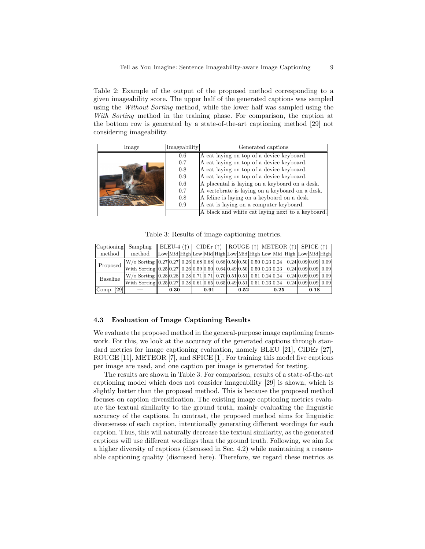Table 2: Example of the output of the proposed method corresponding to a given imageability score. The upper half of the generated captions was sampled using the Without Sorting method, while the lower half was sampled using the With Sorting method in the training phase. For comparison, the caption at the bottom row is generated by a state-of-the-art captioning method [29] not considering imageability.

| Image | Imageability | Generated captions                               |
|-------|--------------|--------------------------------------------------|
|       | 0.6          | A cat laying on top of a device keyboard.        |
|       | 0.7          | A cat laying on top of a device keyboard.        |
|       | 0.8          | A cat laying on top of a device keyboard.        |
|       | 0.9          | A cat laying on top of a device keyboard.        |
|       | 0.6          | A placental is laying on a keyboard on a desk.   |
|       | 0.7          | A vertebrate is laying on a keyboard on a desk.  |
|       | 0.8          | A feline is laying on a keyboard on a desk.      |
|       | 0.9          | A cat is laying on a computer keyboard.          |
|       |              | A black and white cat laying next to a keyboard. |

Table 3: Results of image captioning metrics.

| Captioning | Sampling                                                                                                                                                                                                 | $BLEU-4$ $(†)$ |  |      |  |      |  |      | CIDEr $(\uparrow)$ ROUGE $(\uparrow)$ METEOR $(\uparrow)$ SPICE $(\uparrow)$ |  |      |  |                                                                   |  |  |                     |
|------------|----------------------------------------------------------------------------------------------------------------------------------------------------------------------------------------------------------|----------------|--|------|--|------|--|------|------------------------------------------------------------------------------|--|------|--|-------------------------------------------------------------------|--|--|---------------------|
| method     | method                                                                                                                                                                                                   |                |  |      |  |      |  |      |                                                                              |  |      |  | [Low Mid High Low Mid High Low Mid High Low Mid High Low Mid High |  |  |                     |
| Proposed   | W/o Sorting $[0.27]0.27]0.26 0.68 0.68 0.68 0.50 0.50 0.50 0.23 0.24 0.24 0.09 0.09 0.09 $                                                                                                               |                |  |      |  |      |  |      |                                                                              |  |      |  |                                                                   |  |  |                     |
|            | With Sorting $\left 0.25\right 0.27\left 0.26\right 0.59\left 0.50\right 0.64\left 0.49\right 0.50\left 0.50\right 0.23\left 0.23\right 0.23\left 0.09\left 0.09\right 0.09\left 0.09\right 0.00\right $ |                |  |      |  |      |  |      |                                                                              |  |      |  |                                                                   |  |  |                     |
| Baseline   | W/o Sorting $ 0.28 0.28 0.28 0.71 0.71 0.70 0.51 0.51 0.51 0.24 0.24 $                                                                                                                                   |                |  |      |  |      |  |      |                                                                              |  |      |  |                                                                   |  |  | 0.24 0.09 0.09 0.09 |
|            | With Sorting $ 0.25 0.27 0.28 0.61 0.65 0.65 0.49 0.51 0.51 0.23 0.24 0.24 0.09 0.09 0.09$                                                                                                               |                |  |      |  |      |  |      |                                                                              |  |      |  |                                                                   |  |  |                     |
| Comp. [29] |                                                                                                                                                                                                          | 0.30           |  | 0.91 |  | 0.52 |  | 0.25 |                                                                              |  | 0.18 |  |                                                                   |  |  |                     |

## 4.3 Evaluation of Image Captioning Results

We evaluate the proposed method in the general-purpose image captioning framework. For this, we look at the accuracy of the generated captions through standard metrics for image captioning evaluation, namely BLEU [21], CIDEr [27], ROUGE [11], METEOR [7], and SPICE [1]. For training this model five captions per image are used, and one caption per image is generated for testing.

The results are shown in Table 3. For comparison, results of a state-of-the-art captioning model which does not consider imageability [29] is shown, which is slightly better than the proposed method. This is because the proposed method focuses on caption diversification. The existing image captioning metrics evaluate the textual similarity to the ground truth, mainly evaluating the linguistic accuracy of the captions. In contrast, the proposed method aims for linguistic diverseness of each caption, intentionally generating different wordings for each caption. Thus, this will naturally decrease the textual similarity, as the generated captions will use different wordings than the ground truth. Following, we aim for a higher diversity of captions (discussed in Sec. 4.2) while maintaining a reasonable captioning quality (discussed here). Therefore, we regard these metrics as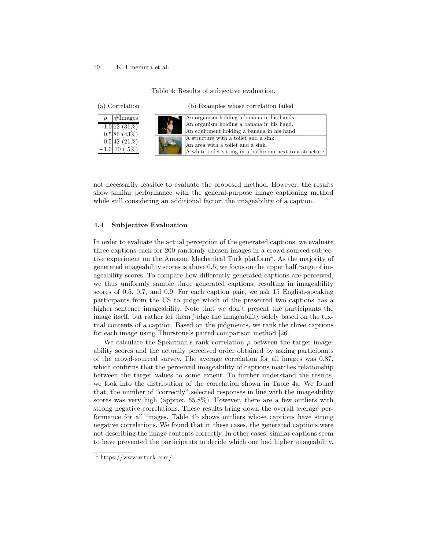## 10 K. Umemura et al.

| (a) Correlation                                                  | (b) Examples whose correlation failed                                                                                                   |
|------------------------------------------------------------------|-----------------------------------------------------------------------------------------------------------------------------------------|
| $# \text{Images}$<br>$1.0\overline{62(31\%)}$<br>$0.5 86(43\%) $ | An organism holding a banana in his hands.<br>An organism holding a banana in his hand.<br>An equipment holding a banana in his hand.   |
| $ -0.5 42(21\%) $<br>$-1.0 10(5%)$                               | A structure with a toilet and a sink.<br>An area with a toilet and a sink.<br>A white toilet sitting in a bathroom next to a structure. |

Table 4: Results of subjective evaluation.

not necessarily feasible to evaluate the proposed method. However, the results show similar performance with the general-purpose image captioning method while still considering an additional factor; the imageability of a caption.

## 4.4 Subjective Evaluation

In order to evaluate the actual perception of the generated captions, we evaluate three captions each for 200 randomly chosen images in a crowd-sourced subjective experiment on the Amazon Mechanical Turk platform<sup>4</sup>. As the majority of generated imageability scores is above 0.5, we focus on the upper half range of imageability scores. To compare how differently generated captions are perceived, we thus uniformly sample three generated captions, resulting in imageability scores of 0.5, 0.7, and 0.9. For each caption pair, we ask 15 English-speaking participants from the US to judge which of the presented two captions has a higher sentence imageability. Note that we don't present the participants the image itself, but rather let them judge the imageability solely based on the textual contents of a caption. Based on the judgments, we rank the three captions for each image using Thurstone's paired comparison method [26].

We calculate the Spearman's rank correlation  $\rho$  between the target imageability scores and the actually perceived order obtained by asking participants of the crowd-sourced survey. The average correlation for all images was 0.37, which confirms that the perceived imageability of captions matches relationship between the target values to some extent. To further understand the results, we look into the distribution of the correlation shown in Table 4a. We found that, the number of "correctly" selected responses in line with the imageability scores was very high (approx. 65.8%). However, there are a few outliers with strong negative correlations. These results bring down the overall average performance for all images. Table 4b shows outliers whose captions have strong negative correlations. We found that in these cases, the generated captions were not describing the image contents correctly. In other cases, similar captions seem to have prevented the participants to decide which one had higher imageability.

<sup>4</sup> https://www.mturk.com/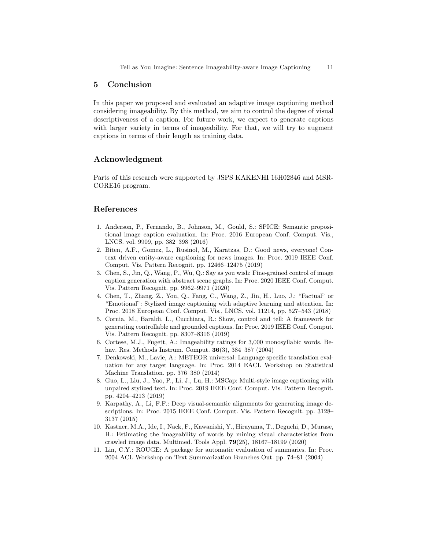## 5 Conclusion

In this paper we proposed and evaluated an adaptive image captioning method considering imageability. By this method, we aim to control the degree of visual descriptiveness of a caption. For future work, we expect to generate captions with larger variety in terms of imageability. For that, we will try to augment captions in terms of their length as training data.

# Acknowledgment

Parts of this research were supported by JSPS KAKENHI 16H02846 and MSR-CORE16 program.

# References

- 1. Anderson, P., Fernando, B., Johnson, M., Gould, S.: SPICE: Semantic propositional image caption evaluation. In: Proc. 2016 European Conf. Comput. Vis., LNCS. vol. 9909, pp. 382–398 (2016)
- 2. Biten, A.F., Gomez, L., Rusinol, M., Karatzas, D.: Good news, everyone! Context driven entity-aware captioning for news images. In: Proc. 2019 IEEE Conf. Comput. Vis. Pattern Recognit. pp. 12466–12475 (2019)
- 3. Chen, S., Jin, Q., Wang, P., Wu, Q.: Say as you wish: Fine-grained control of image caption generation with abstract scene graphs. In: Proc. 2020 IEEE Conf. Comput. Vis. Pattern Recognit. pp. 9962–9971 (2020)
- 4. Chen, T., Zhang, Z., You, Q., Fang, C., Wang, Z., Jin, H., Luo, J.: "Factual" or "Emotional": Stylized image captioning with adaptive learning and attention. In: Proc. 2018 European Conf. Comput. Vis., LNCS. vol. 11214, pp. 527–543 (2018)
- 5. Cornia, M., Baraldi, L., Cucchiara, R.: Show, control and tell: A framework for generating controllable and grounded captions. In: Proc. 2019 IEEE Conf. Comput. Vis. Pattern Recognit. pp. 8307–8316 (2019)
- 6. Cortese, M.J., Fugett, A.: Imageability ratings for 3,000 monosyllabic words. Behav. Res. Methods Instrum. Comput. 36(3), 384–387 (2004)
- 7. Denkowski, M., Lavie, A.: METEOR universal: Language specific translation evaluation for any target language. In: Proc. 2014 EACL Workshop on Statistical Machine Translation. pp. 376–380 (2014)
- 8. Guo, L., Liu, J., Yao, P., Li, J., Lu, H.: MSCap: Multi-style image captioning with unpaired stylized text. In: Proc. 2019 IEEE Conf. Comput. Vis. Pattern Recognit. pp. 4204–4213 (2019)
- 9. Karpathy, A., Li, F.F.: Deep visual-semantic alignments for generating image descriptions. In: Proc. 2015 IEEE Conf. Comput. Vis. Pattern Recognit. pp. 3128– 3137 (2015)
- 10. Kastner, M.A., Ide, I., Nack, F., Kawanishi, Y., Hirayama, T., Deguchi, D., Murase, H.: Estimating the imageability of words by mining visual characteristics from crawled image data. Multimed. Tools Appl. 79(25), 18167–18199 (2020)
- 11. Lin, C.Y.: ROUGE: A package for automatic evaluation of summaries. In: Proc. 2004 ACL Workshop on Text Summarization Branches Out. pp. 74–81 (2004)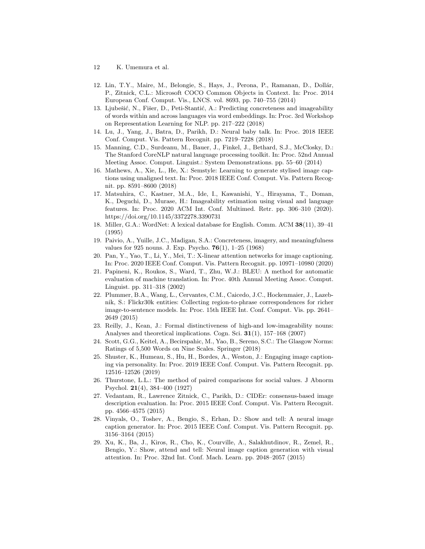- 12 K. Umemura et al.
- 12. Lin, T.Y., Maire, M., Belongie, S., Hays, J., Perona, P., Ramanan, D., Dollár, P., Zitnick, C.L.: Microsoft COCO Common Objects in Context. In: Proc. 2014 European Conf. Comput. Vis., LNCS. vol. 8693, pp. 740–755 (2014)
- 13. Ljubešić, N., Fišer, D., Peti-Stantić, A.: Predicting concreteness and imageability of words within and across languages via word embeddings. In: Proc. 3rd Workshop on Representation Learning for NLP. pp. 217–222 (2018)
- 14. Lu, J., Yang, J., Batra, D., Parikh, D.: Neural baby talk. In: Proc. 2018 IEEE Conf. Comput. Vis. Pattern Recognit. pp. 7219–7228 (2018)
- 15. Manning, C.D., Surdeanu, M., Bauer, J., Finkel, J., Bethard, S.J., McClosky, D.: The Stanford CoreNLP natural language processing toolkit. In: Proc. 52nd Annual Meeting Assoc. Comput. Linguist.: System Demonstrations. pp. 55–60 (2014)
- 16. Mathews, A., Xie, L., He, X.: Semstyle: Learning to generate stylised image captions using unaligned text. In: Proc. 2018 IEEE Conf. Comput. Vis. Pattern Recognit. pp. 8591–8600 (2018)
- 17. Matsuhira, C., Kastner, M.A., Ide, I., Kawanishi, Y., Hirayama, T., Doman, K., Deguchi, D., Murase, H.: Imageability estimation using visual and language features. In: Proc. 2020 ACM Int. Conf. Multimed. Retr. pp. 306–310 (2020). https://doi.org/10.1145/3372278.3390731
- 18. Miller, G.A.: WordNet: A lexical database for English. Comm. ACM 38(11), 39–41 (1995)
- 19. Paivio, A., Yuille, J.C., Madigan, S.A.: Concreteness, imagery, and meaningfulness values for 925 nouns. J. Exp. Psycho.  $76(1)$ , 1–25 (1968)
- 20. Pan, Y., Yao, T., Li, Y., Mei, T.: X-linear attention networks for image captioning. In: Proc. 2020 IEEE Conf. Comput. Vis. Pattern Recognit. pp. 10971–10980 (2020)
- 21. Papineni, K., Roukos, S., Ward, T., Zhu, W.J.: BLEU: A method for automatic evaluation of machine translation. In: Proc. 40th Annual Meeting Assoc. Comput. Linguist. pp. 311–318 (2002)
- 22. Plummer, B.A., Wang, L., Cervantes, C.M., Caicedo, J.C., Hockenmaier, J., Lazebnik, S.: Flickr30k entities: Collecting region-to-phrase correspondences for richer image-to-sentence models. In: Proc. 15th IEEE Int. Conf. Comput. Vis. pp. 2641– 2649 (2015)
- 23. Reilly, J., Kean, J.: Formal distinctiveness of high-and low-imageability nouns: Analyses and theoretical implications. Cogn. Sci. 31(1), 157–168 (2007)
- 24. Scott, G.G., Keitel, A., Becirspahic, M., Yao, B., Sereno, S.C.: The Glasgow Norms: Ratings of 5,500 Words on Nine Scales. Springer (2018)
- 25. Shuster, K., Humeau, S., Hu, H., Bordes, A., Weston, J.: Engaging image captioning via personality. In: Proc. 2019 IEEE Conf. Comput. Vis. Pattern Recognit. pp. 12516–12526 (2019)
- 26. Thurstone, L.L.: The method of paired comparisons for social values. J Abnorm Psychol. 21(4), 384–400 (1927)
- 27. Vedantam, R., Lawrence Zitnick, C., Parikh, D.: CIDEr: consensus-based image description evaluation. In: Proc. 2015 IEEE Conf. Comput. Vis. Pattern Recognit. pp. 4566–4575 (2015)
- 28. Vinyals, O., Toshev, A., Bengio, S., Erhan, D.: Show and tell: A neural image caption generator. In: Proc. 2015 IEEE Conf. Comput. Vis. Pattern Recognit. pp. 3156–3164 (2015)
- 29. Xu, K., Ba, J., Kiros, R., Cho, K., Courville, A., Salakhutdinov, R., Zemel, R., Bengio, Y.: Show, attend and tell: Neural image caption generation with visual attention. In: Proc. 32nd Int. Conf. Mach. Learn. pp. 2048–2057 (2015)